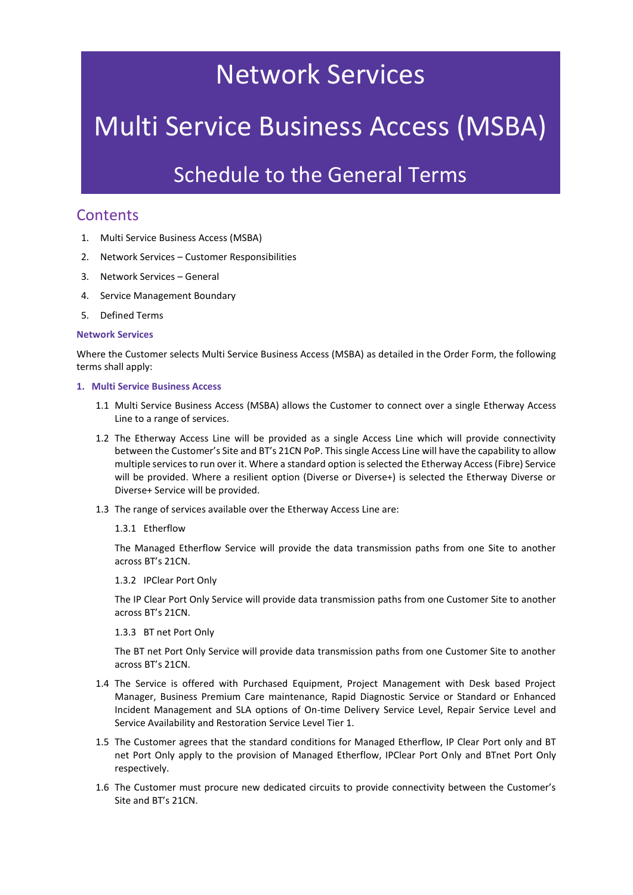## Network Services

# Multi Service Business Access (MSBA)

### Schedule to the General Terms

### **Contents**

- 1. Multi Service Business Access (MSBA)
- 2. Network Services Customer Responsibilities
- 3. Network Services General
- 4. Service Management Boundary
- 5. Defined Terms

#### **Network Services**

Where the Customer selects Multi Service Business Access (MSBA) as detailed in the Order Form, the following terms shall apply:

#### **1. Multi Service Business Access**

- 1.1 Multi Service Business Access (MSBA) allows the Customer to connect over a single Etherway Access Line to a range of services.
- 1.2 The Etherway Access Line will be provided as a single Access Line which will provide connectivity between the Customer's Site and BT's 21CN PoP. This single Access Line will have the capability to allow multiple services to run over it. Where a standard option is selected the Etherway Access (Fibre) Service will be provided. Where a resilient option (Diverse or Diverse+) is selected the Etherway Diverse or Diverse+ Service will be provided.
- 1.3 The range of services available over the Etherway Access Line are:

#### 1.3.1 Etherflow

The Managed Etherflow Service will provide the data transmission paths from one Site to another across BT's 21CN.

1.3.2 IPClear Port Only

The IP Clear Port Only Service will provide data transmission paths from one Customer Site to another across BT's 21CN.

1.3.3 BT net Port Only

The BT net Port Only Service will provide data transmission paths from one Customer Site to another across BT's 21CN.

- 1.4 The Service is offered with Purchased Equipment, Project Management with Desk based Project Manager, Business Premium Care maintenance, Rapid Diagnostic Service or Standard or Enhanced Incident Management and SLA options of On-time Delivery Service Level, Repair Service Level and Service Availability and Restoration Service Level Tier 1.
- 1.5 The Customer agrees that the standard conditions for Managed Etherflow, IP Clear Port only and BT net Port Only apply to the provision of Managed Etherflow, IPClear Port Only and BTnet Port Only respectively.
- 1.6 The Customer must procure new dedicated circuits to provide connectivity between the Customer's Site and BT's 21CN.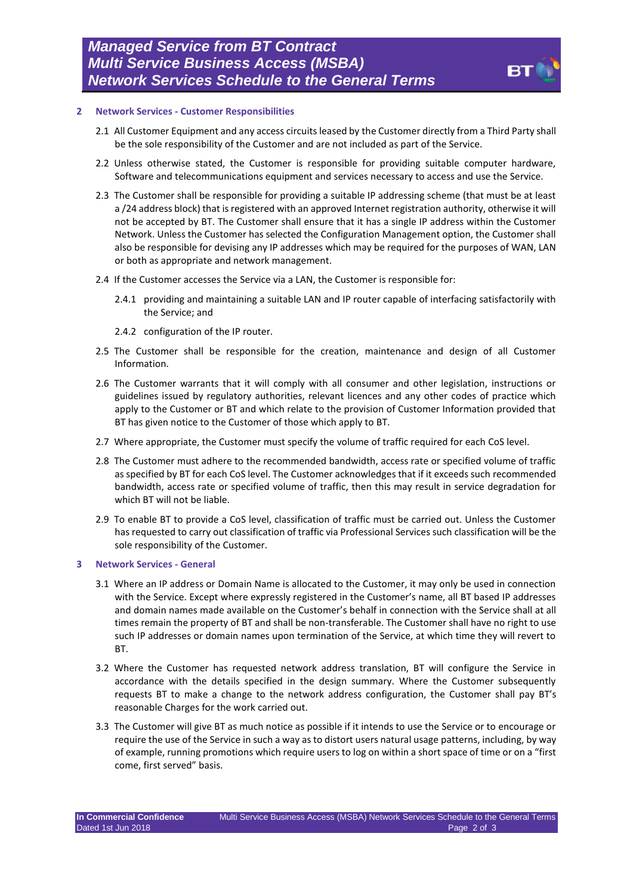

#### **2 Network Services - Customer Responsibilities**

- 2.1 All Customer Equipment and any access circuits leased by the Customer directly from a Third Party shall be the sole responsibility of the Customer and are not included as part of the Service.
- 2.2 Unless otherwise stated, the Customer is responsible for providing suitable computer hardware, Software and telecommunications equipment and services necessary to access and use the Service.
- 2.3 The Customer shall be responsible for providing a suitable IP addressing scheme (that must be at least a /24 address block) that is registered with an approved Internet registration authority, otherwise it will not be accepted by BT. The Customer shall ensure that it has a single IP address within the Customer Network. Unless the Customer has selected the Configuration Management option, the Customer shall also be responsible for devising any IP addresses which may be required for the purposes of WAN, LAN or both as appropriate and network management.
- 2.4 If the Customer accesses the Service via a LAN, the Customer is responsible for:
	- 2.4.1 providing and maintaining a suitable LAN and IP router capable of interfacing satisfactorily with the Service; and
	- 2.4.2 configuration of the IP router.
- 2.5 The Customer shall be responsible for the creation, maintenance and design of all Customer Information.
- 2.6 The Customer warrants that it will comply with all consumer and other legislation, instructions or guidelines issued by regulatory authorities, relevant licences and any other codes of practice which apply to the Customer or BT and which relate to the provision of Customer Information provided that BT has given notice to the Customer of those which apply to BT.
- 2.7 Where appropriate, the Customer must specify the volume of traffic required for each CoS level.
- 2.8 The Customer must adhere to the recommended bandwidth, access rate or specified volume of traffic as specified by BT for each CoS level. The Customer acknowledges that if it exceeds such recommended bandwidth, access rate or specified volume of traffic, then this may result in service degradation for which BT will not be liable.
- 2.9 To enable BT to provide a CoS level, classification of traffic must be carried out. Unless the Customer has requested to carry out classification of traffic via Professional Services such classification will be the sole responsibility of the Customer.

#### **3 Network Services - General**

- 3.1 Where an IP address or Domain Name is allocated to the Customer, it may only be used in connection with the Service. Except where expressly registered in the Customer's name, all BT based IP addresses and domain names made available on the Customer's behalf in connection with the Service shall at all times remain the property of BT and shall be non-transferable. The Customer shall have no right to use such IP addresses or domain names upon termination of the Service, at which time they will revert to BT.
- 3.2 Where the Customer has requested network address translation, BT will configure the Service in accordance with the details specified in the design summary. Where the Customer subsequently requests BT to make a change to the network address configuration, the Customer shall pay BT's reasonable Charges for the work carried out.
- 3.3 The Customer will give BT as much notice as possible if it intends to use the Service or to encourage or require the use of the Service in such a way as to distort users natural usage patterns, including, by way of example, running promotions which require users to log on within a short space of time or on a "first come, first served" basis.